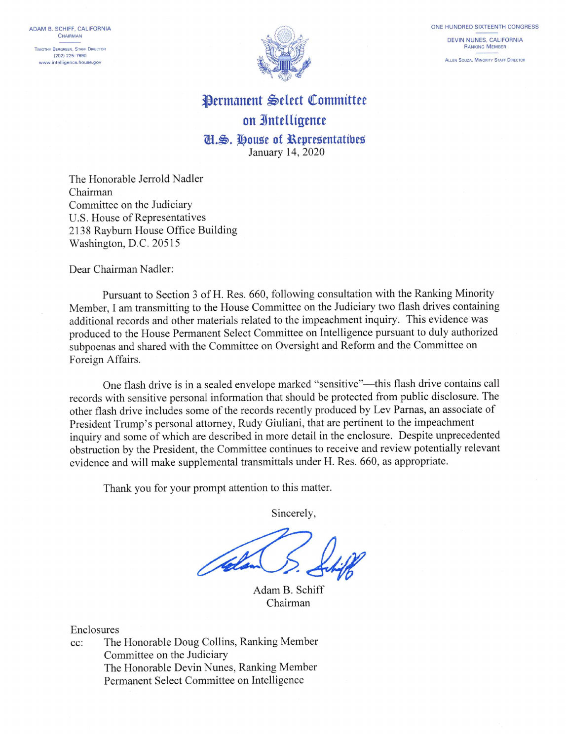ADAM B. SCHIFF, CALIFORNIA CHAIRMAN TIMOTHY BERGREEN, STAFF DIRECTOR (202) 225-7690 www.intelligence.house.gov



## **Permanent Select Committee** on Intelligence Cl.S. House of Representatives

January 14, 2020

The Honorable Jerrold Nadler Chairman Committee on the Judiciary U.S. House of Representatives 2138 Rayburn House Office Building Washington, D.C. 20515

Dear Chairman Nadler:

Pursuant to Section 3 of H. Res. 660, following consultation with the Ranking Minority Member, I am transmitting to the House Committee on the Judiciary two flash drives containing additional records and other materials related to the impeachment inquiry. This evidence was produced to the House Permanent Select Committee on Intelligence pursuant to duly authorized subpoenas and shared with the Committee on Oversight and Reform and the Committee on Foreign Affairs.

One flash drive is in a sealed envelope marked "sensitive"—this flash drive contains call records with sensitive personal information that should be protected from public disclosure. The other flash drive includes some of the records recently produced by Lev Parnas, an associate of President Trump's personal attorney, Rudy Giuliani, that are pertinent to the impeachment inquiry and some of which are described in more detail in the enclosure. Despite unprecedented obstruction by the President, the Committee continues to receive and review potentially relevant evidence and will make supplemental transmittals under H. Res. 660, as appropriate.

Thank you for your prompt attention to this matter.

Sincerely,

Adam B. Schiff Chairman

Enclosures

The Honorable Doug Collins, Ranking Member  $cc$ : Committee on the Judiciary The Honorable Devin Nunes, Ranking Member Permanent Select Committee on Intelligence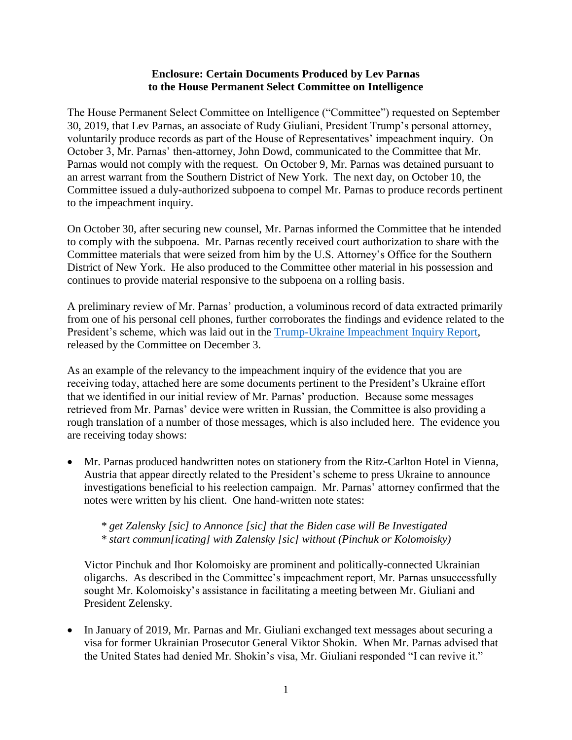## **Enclosure: Certain Documents Produced by Lev Parnas to the House Permanent Select Committee on Intelligence**

The House Permanent Select Committee on Intelligence ("Committee") requested on September 30, 2019, that Lev Parnas, an associate of Rudy Giuliani, President Trump's personal attorney, voluntarily produce records as part of the House of Representatives' impeachment inquiry. On October 3, Mr. Parnas' then-attorney, John Dowd, communicated to the Committee that Mr. Parnas would not comply with the request. On October 9, Mr. Parnas was detained pursuant to an arrest warrant from the Southern District of New York. The next day, on October 10, the Committee issued a duly-authorized subpoena to compel Mr. Parnas to produce records pertinent to the impeachment inquiry.

On October 30, after securing new counsel, Mr. Parnas informed the Committee that he intended to comply with the subpoena. Mr. Parnas recently received court authorization to share with the Committee materials that were seized from him by the U.S. Attorney's Office for the Southern District of New York. He also produced to the Committee other material in his possession and continues to provide material responsive to the subpoena on a rolling basis.

A preliminary review of Mr. Parnas' production, a voluminous record of data extracted primarily from one of his personal cell phones, further corroborates the findings and evidence related to the President's scheme, which was laid out in the [Trump-Ukraine Impeachment Inquiry Report,](https://intelligence.house.gov/uploadedfiles/the_trump-ukraine_impeachment_inquiry_report.pdf) released by the Committee on December 3.

As an example of the relevancy to the impeachment inquiry of the evidence that you are receiving today, attached here are some documents pertinent to the President's Ukraine effort that we identified in our initial review of Mr. Parnas' production. Because some messages retrieved from Mr. Parnas' device were written in Russian, the Committee is also providing a rough translation of a number of those messages, which is also included here. The evidence you are receiving today shows:

• Mr. Parnas produced handwritten notes on stationery from the Ritz-Carlton Hotel in Vienna, Austria that appear directly related to the President's scheme to press Ukraine to announce investigations beneficial to his reelection campaign. Mr. Parnas' attorney confirmed that the notes were written by his client. One hand-written note states:

*\* get Zalensky [sic] to Annonce [sic] that the Biden case will Be Investigated \* start commun[icating] with Zalensky [sic] without (Pinchuk or Kolomoisky)*

Victor Pinchuk and Ihor Kolomoisky are prominent and politically-connected Ukrainian oligarchs. As described in the Committee's impeachment report, Mr. Parnas unsuccessfully sought Mr. Kolomoisky's assistance in facilitating a meeting between Mr. Giuliani and President Zelensky.

• In January of 2019, Mr. Parnas and Mr. Giuliani exchanged text messages about securing a visa for former Ukrainian Prosecutor General Viktor Shokin. When Mr. Parnas advised that the United States had denied Mr. Shokin's visa, Mr. Giuliani responded "I can revive it."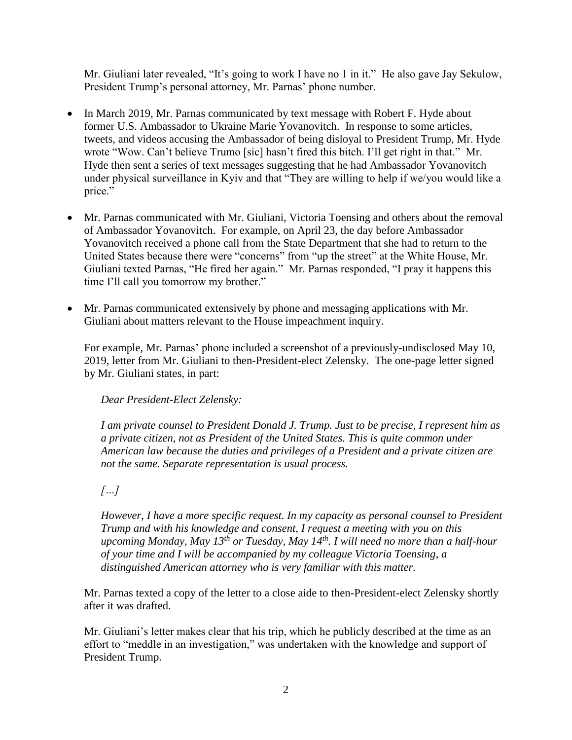Mr. Giuliani later revealed, "It's going to work I have no 1 in it." He also gave Jay Sekulow, President Trump's personal attorney, Mr. Parnas' phone number.

- In March 2019, Mr. Parnas communicated by text message with Robert F. Hyde about former U.S. Ambassador to Ukraine Marie Yovanovitch. In response to some articles, tweets, and videos accusing the Ambassador of being disloyal to President Trump, Mr. Hyde wrote "Wow. Can't believe Trumo [sic] hasn't fired this bitch. I'll get right in that." Mr. Hyde then sent a series of text messages suggesting that he had Ambassador Yovanovitch under physical surveillance in Kyiv and that "They are willing to help if we/you would like a price."
- Mr. Parnas communicated with Mr. Giuliani, Victoria Toensing and others about the removal of Ambassador Yovanovitch. For example, on April 23, the day before Ambassador Yovanovitch received a phone call from the State Department that she had to return to the United States because there were "concerns" from "up the street" at the White House, Mr. Giuliani texted Parnas, "He fired her again." Mr. Parnas responded, "I pray it happens this time I'll call you tomorrow my brother."
- Mr. Parnas communicated extensively by phone and messaging applications with Mr. Giuliani about matters relevant to the House impeachment inquiry.

For example, Mr. Parnas' phone included a screenshot of a previously-undisclosed May 10, 2019, letter from Mr. Giuliani to then-President-elect Zelensky. The one-page letter signed by Mr. Giuliani states, in part:

*Dear President-Elect Zelensky:* 

*I am private counsel to President Donald J. Trump. Just to be precise, I represent him as a private citizen, not as President of the United States. This is quite common under American law because the duties and privileges of a President and a private citizen are not the same. Separate representation is usual process.* 

*[…]*

*However, I have a more specific request. In my capacity as personal counsel to President Trump and with his knowledge and consent, I request a meeting with you on this upcoming Monday, May 13th or Tuesday, May 14th. I will need no more than a half-hour of your time and I will be accompanied by my colleague Victoria Toensing, a distinguished American attorney who is very familiar with this matter.* 

Mr. Parnas texted a copy of the letter to a close aide to then-President-elect Zelensky shortly after it was drafted.

Mr. Giuliani's letter makes clear that his trip, which he publicly described at the time as an effort to "meddle in an investigation," was undertaken with the knowledge and support of President Trump.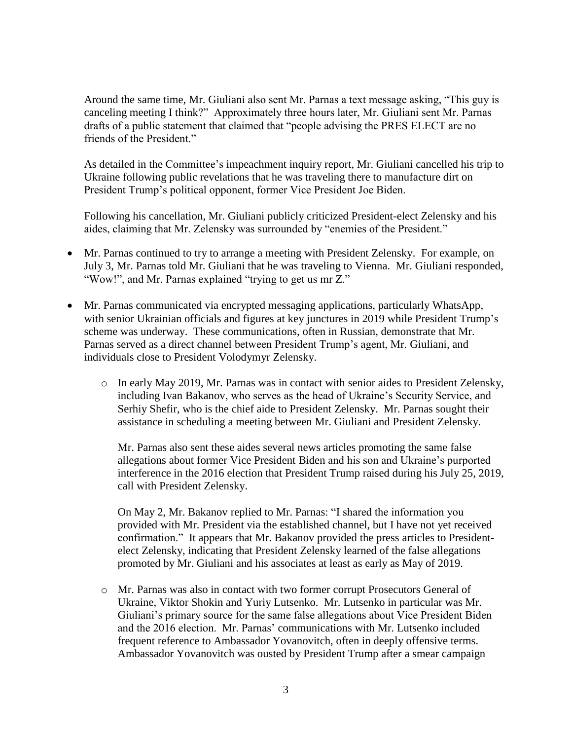Around the same time, Mr. Giuliani also sent Mr. Parnas a text message asking, "This guy is canceling meeting I think?" Approximately three hours later, Mr. Giuliani sent Mr. Parnas drafts of a public statement that claimed that "people advising the PRES ELECT are no friends of the President."

As detailed in the Committee's impeachment inquiry report, Mr. Giuliani cancelled his trip to Ukraine following public revelations that he was traveling there to manufacture dirt on President Trump's political opponent, former Vice President Joe Biden.

Following his cancellation, Mr. Giuliani publicly criticized President-elect Zelensky and his aides, claiming that Mr. Zelensky was surrounded by "enemies of the President."

- Mr. Parnas continued to try to arrange a meeting with President Zelensky. For example, on July 3, Mr. Parnas told Mr. Giuliani that he was traveling to Vienna. Mr. Giuliani responded, "Wow!", and Mr. Parnas explained "trying to get us mr Z."
- Mr. Parnas communicated via encrypted messaging applications, particularly WhatsApp, with senior Ukrainian officials and figures at key junctures in 2019 while President Trump's scheme was underway. These communications, often in Russian, demonstrate that Mr. Parnas served as a direct channel between President Trump's agent, Mr. Giuliani, and individuals close to President Volodymyr Zelensky.
	- o In early May 2019, Mr. Parnas was in contact with senior aides to President Zelensky, including Ivan Bakanov, who serves as the head of Ukraine's Security Service, and Serhiy Shefir, who is the chief aide to President Zelensky. Mr. Parnas sought their assistance in scheduling a meeting between Mr. Giuliani and President Zelensky.

Mr. Parnas also sent these aides several news articles promoting the same false allegations about former Vice President Biden and his son and Ukraine's purported interference in the 2016 election that President Trump raised during his July 25, 2019, call with President Zelensky.

On May 2, Mr. Bakanov replied to Mr. Parnas: "I shared the information you provided with Mr. President via the established channel, but I have not yet received confirmation." It appears that Mr. Bakanov provided the press articles to Presidentelect Zelensky, indicating that President Zelensky learned of the false allegations promoted by Mr. Giuliani and his associates at least as early as May of 2019.

o Mr. Parnas was also in contact with two former corrupt Prosecutors General of Ukraine, Viktor Shokin and Yuriy Lutsenko. Mr. Lutsenko in particular was Mr. Giuliani's primary source for the same false allegations about Vice President Biden and the 2016 election. Mr. Parnas' communications with Mr. Lutsenko included frequent reference to Ambassador Yovanovitch, often in deeply offensive terms. Ambassador Yovanovitch was ousted by President Trump after a smear campaign